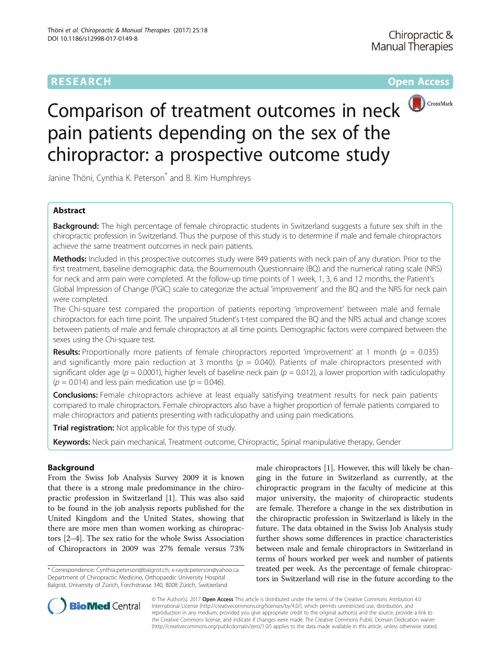# **RESEARCH CHE Open Access**



# Comparison of treatment outcomes in neck **OCCOSONATE** pain patients depending on the sex of the chiropractor: a prospective outcome study

Janine Thöni, Cynthia K. Peterson<sup>\*</sup> and B. Kim Humphreys

# Abstract

**Background:** The high percentage of female chiropractic students in Switzerland suggests a future sex shift in the chiropractic profession in Switzerland. Thus the purpose of this study is to determine if male and female chiropractors achieve the same treatment outcomes in neck pain patients.

Methods: Included in this prospective outcomes study were 849 patients with neck pain of any duration. Prior to the first treatment, baseline demographic data, the Bournemouth Questionnaire (BQ) and the numerical rating scale (NRS) for neck and arm pain were completed. At the follow-up time points of 1 week, 1, 3, 6 and 12 months, the Patient's Global Impression of Change (PGIC) scale to categorize the actual 'improvement' and the BQ and the NRS for neck pain were completed.

The Chi-square test compared the proportion of patients reporting 'improvement' between male and female chiropractors for each time point. The unpaired Student's t-test compared the BQ and the NRS actual and change scores between patients of male and female chiropractors at all time points. Demographic factors were compared between the sexes using the Chi-square test.

**Results:** Proportionally more patients of female chiropractors reported 'improvement' at 1 month ( $p = 0.035$ ) and significantly more pain reduction at 3 months ( $p = 0.040$ ). Patients of male chiropractors presented with significant older age ( $p = 0.0001$ ), higher levels of baseline neck pain ( $p = 0.012$ ), a lower proportion with radiculopathy  $(p = 0.014)$  and less pain medication use  $(p = 0.046)$ .

Conclusions: Female chiropractors achieve at least equally satisfying treatment results for neck pain patients compared to male chiropractors. Female chiropractors also have a higher proportion of female patients compared to male chiropractors and patients presenting with radiculopathy and using pain medications.

**Trial registration:** Not applicable for this type of study.

Keywords: Neck pain mechanical, Treatment outcome, Chiropractic, Spinal manipulative therapy, Gender

# Background

From the Swiss Job Analysis Survey 2009 it is known that there is a strong male predominance in the chiropractic profession in Switzerland [\[1](#page-8-0)]. This was also said to be found in the job analysis reports published for the United Kingdom and the United States, showing that there are more men than women working as chiropractors [[2](#page-8-0)–[4](#page-8-0)]. The sex ratio for the whole Swiss Association of Chiropractors in 2009 was 27% female versus 73%

\* Correspondence: [Cynthia.peterson@balgrist.ch;](mailto:Cynthia.peterson@balgrist.ch) [x-raydcpeterson@yahoo.ca](mailto:x-raydcpeterson@yahoo.ca) Department of Chiropractic Medicine, Orthopaedic University Hospital Balgrist, University of Zürich, Forchstrasse 340, 8008 Zürich, Switzerland

male chiropractors [\[1](#page-8-0)]. However, this will likely be changing in the future in Switzerland as currently, at the chiropractic program in the faculty of medicine at this major university, the majority of chiropractic students are female. Therefore a change in the sex distribution in the chiropractic profession in Switzerland is likely in the future. The data obtained in the Swiss Job Analysis study further shows some differences in practice characteristics between male and female chiropractors in Switzerland in terms of hours worked per week and number of patients treated per week. As the percentage of female chiropractors in Switzerland will rise in the future according to the



© The Author(s). 2017 **Open Access** This article is distributed under the terms of the Creative Commons Attribution 4.0 International License [\(http://creativecommons.org/licenses/by/4.0/](http://creativecommons.org/licenses/by/4.0/)), which permits unrestricted use, distribution, and reproduction in any medium, provided you give appropriate credit to the original author(s) and the source, provide a link to the Creative Commons license, and indicate if changes were made. The Creative Commons Public Domain Dedication waiver [\(http://creativecommons.org/publicdomain/zero/1.0/](http://creativecommons.org/publicdomain/zero/1.0/)) applies to the data made available in this article, unless otherwise stated.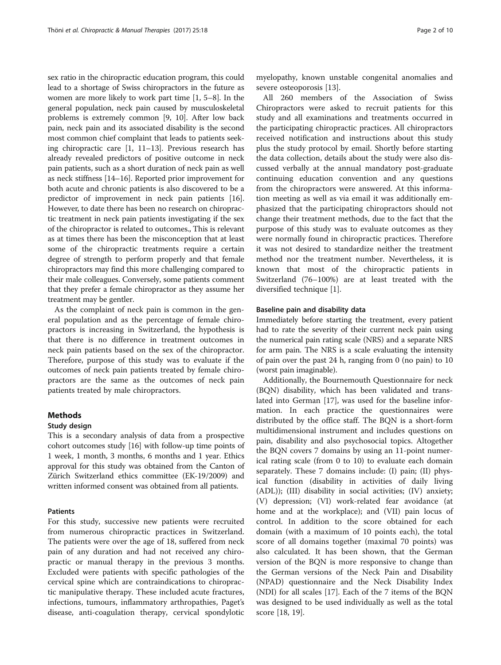sex ratio in the chiropractic education program, this could lead to a shortage of Swiss chiropractors in the future as women are more likely to work part time [\[1, 5](#page-8-0)–[8\]](#page-8-0). In the general population, neck pain caused by musculoskeletal problems is extremely common [[9, 10](#page-8-0)]. After low back pain, neck pain and its associated disability is the second most common chief complaint that leads to patients seeking chiropractic care [[1, 11](#page-8-0)–[13](#page-8-0)]. Previous research has already revealed predictors of positive outcome in neck pain patients, such as a short duration of neck pain as well as neck stiffness [\[14](#page-8-0)–[16](#page-8-0)]. Reported prior improvement for both acute and chronic patients is also discovered to be a predictor of improvement in neck pain patients [[16](#page-8-0)]. However, to date there has been no research on chiropractic treatment in neck pain patients investigating if the sex of the chiropractor is related to outcomes., This is relevant as at times there has been the misconception that at least some of the chiropractic treatments require a certain degree of strength to perform properly and that female chiropractors may find this more challenging compared to their male colleagues. Conversely, some patients comment that they prefer a female chiropractor as they assume her treatment may be gentler.

As the complaint of neck pain is common in the general population and as the percentage of female chiropractors is increasing in Switzerland, the hypothesis is that there is no difference in treatment outcomes in neck pain patients based on the sex of the chiropractor. Therefore, purpose of this study was to evaluate if the outcomes of neck pain patients treated by female chiropractors are the same as the outcomes of neck pain patients treated by male chiropractors.

# **Methods**

## Study design

This is a secondary analysis of data from a prospective cohort outcomes study [[16](#page-8-0)] with follow-up time points of 1 week, 1 month, 3 months, 6 months and 1 year. Ethics approval for this study was obtained from the Canton of Zürich Switzerland ethics committee (EK-19/2009) and written informed consent was obtained from all patients.

## **Patients**

For this study, successive new patients were recruited from numerous chiropractic practices in Switzerland. The patients were over the age of 18, suffered from neck pain of any duration and had not received any chiropractic or manual therapy in the previous 3 months. Excluded were patients with specific pathologies of the cervical spine which are contraindications to chiropractic manipulative therapy. These included acute fractures, infections, tumours, inflammatory arthropathies, Paget's disease, anti-coagulation therapy, cervical spondylotic

myelopathy, known unstable congenital anomalies and severe osteoporosis [[13\]](#page-8-0).

All 260 members of the Association of Swiss Chiropractors were asked to recruit patients for this study and all examinations and treatments occurred in the participating chiropractic practices. All chiropractors received notification and instructions about this study plus the study protocol by email. Shortly before starting the data collection, details about the study were also discussed verbally at the annual mandatory post-graduate continuing education convention and any questions from the chiropractors were answered. At this information meeting as well as via email it was additionally emphasized that the participating chiropractors should not change their treatment methods, due to the fact that the purpose of this study was to evaluate outcomes as they were normally found in chiropractic practices. Therefore it was not desired to standardize neither the treatment method nor the treatment number. Nevertheless, it is known that most of the chiropractic patients in Switzerland (76–100%) are at least treated with the diversified technique [[1\]](#page-8-0).

## Baseline pain and disability data

Immediately before starting the treatment, every patient had to rate the severity of their current neck pain using the numerical pain rating scale (NRS) and a separate NRS for arm pain. The NRS is a scale evaluating the intensity of pain over the past 24 h, ranging from 0 (no pain) to 10 (worst pain imaginable).

Additionally, the Bournemouth Questionnaire for neck (BQN) disability, which has been validated and translated into German [[17\]](#page-8-0), was used for the baseline information. In each practice the questionnaires were distributed by the office staff. The BQN is a short-form multidimensional instrument and includes questions on pain, disability and also psychosocial topics. Altogether the BQN covers 7 domains by using an 11-point numerical rating scale (from 0 to 10) to evaluate each domain separately. These 7 domains include: (I) pain; (II) physical function (disability in activities of daily living (ADL)); (III) disability in social activities; (IV) anxiety; (V) depression; (VI) work-related fear avoidance (at home and at the workplace); and (VII) pain locus of control. In addition to the score obtained for each domain (with a maximum of 10 points each), the total score of all domains together (maximal 70 points) was also calculated. It has been shown, that the German version of the BQN is more responsive to change than the German versions of the Neck Pain and Disability (NPAD) questionnaire and the Neck Disability Index (NDI) for all scales [\[17\]](#page-8-0). Each of the 7 items of the BQN was designed to be used individually as well as the total score [\[18](#page-8-0), [19\]](#page-8-0).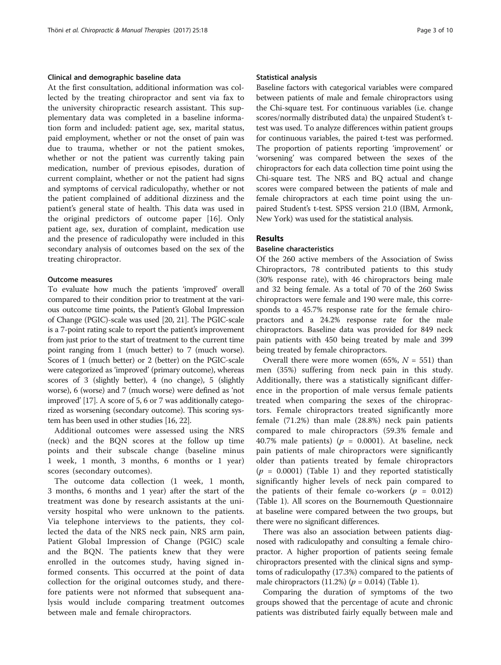## Clinical and demographic baseline data

At the first consultation, additional information was collected by the treating chiropractor and sent via fax to the university chiropractic research assistant. This supplementary data was completed in a baseline information form and included: patient age, sex, marital status, paid employment, whether or not the onset of pain was due to trauma, whether or not the patient smokes, whether or not the patient was currently taking pain medication, number of previous episodes, duration of current complaint, whether or not the patient had signs and symptoms of cervical radiculopathy, whether or not the patient complained of additional dizziness and the patient's general state of health. This data was used in the original predictors of outcome paper [\[16\]](#page-8-0). Only patient age, sex, duration of complaint, medication use and the presence of radiculopathy were included in this secondary analysis of outcomes based on the sex of the treating chiropractor.

#### Outcome measures

To evaluate how much the patients 'improved' overall compared to their condition prior to treatment at the various outcome time points, the Patient's Global Impression of Change (PGIC)-scale was used [\[20, 21](#page-8-0)]. The PGIC-scale is a 7-point rating scale to report the patient's improvement from just prior to the start of treatment to the current time point ranging from 1 (much better) to 7 (much worse). Scores of 1 (much better) or 2 (better) on the PGIC-scale were categorized as 'improved' (primary outcome), whereas scores of 3 (slightly better), 4 (no change), 5 (slightly worse), 6 (worse) and 7 (much worse) were defined as 'not improved' [[17](#page-8-0)]. A score of 5, 6 or 7 was additionally categorized as worsening (secondary outcome). This scoring system has been used in other studies [\[16, 22\]](#page-8-0).

Additional outcomes were assessed using the NRS (neck) and the BQN scores at the follow up time points and their subscale change (baseline minus 1 week, 1 month, 3 months, 6 months or 1 year) scores (secondary outcomes).

The outcome data collection (1 week, 1 month, 3 months, 6 months and 1 year) after the start of the treatment was done by research assistants at the university hospital who were unknown to the patients. Via telephone interviews to the patients, they collected the data of the NRS neck pain, NRS arm pain, Patient Global Impression of Change (PGIC) scale and the BQN. The patients knew that they were enrolled in the outcomes study, having signed informed consents. This occurred at the point of data collection for the original outcomes study, and therefore patients were not nformed that subsequent analysis would include comparing treatment outcomes between male and female chiropractors.

#### Statistical analysis

Baseline factors with categorical variables were compared between patients of male and female chiropractors using the Chi-square test. For continuous variables (i.e. change scores/normally distributed data) the unpaired Student's ttest was used. To analyze differences within patient groups for continuous variables, the paired t-test was performed. The proportion of patients reporting 'improvement' or 'worsening' was compared between the sexes of the chiropractors for each data collection time point using the Chi-square test. The NRS and BQ actual and change scores were compared between the patients of male and female chiropractors at each time point using the unpaired Student's t-test. SPSS version 21.0 (IBM, Armonk, New York) was used for the statistical analysis.

# Results

# Baseline characteristics

Of the 260 active members of the Association of Swiss Chiropractors, 78 contributed patients to this study (30% response rate), with 46 chiropractors being male and 32 being female. As a total of 70 of the 260 Swiss chiropractors were female and 190 were male, this corresponds to a 45.7% response rate for the female chiropractors and a 24.2% response rate for the male chiropractors. Baseline data was provided for 849 neck pain patients with 450 being treated by male and 399 being treated by female chiropractors.

Overall there were more women (65%,  $N = 551$ ) than men (35%) suffering from neck pain in this study. Additionally, there was a statistically significant difference in the proportion of male versus female patients treated when comparing the sexes of the chiropractors. Female chiropractors treated significantly more female (71.2%) than male (28.8%) neck pain patients compared to male chiropractors (59.3% female and 40.7% male patients) ( $p = 0.0001$ ). At baseline, neck pain patients of male chiropractors were significantly older than patients treated by female chiropractors  $(p = 0.0001)$  (Table [1\)](#page-3-0) and they reported statistically significantly higher levels of neck pain compared to the patients of their female co-workers ( $p = 0.012$ ) (Table [1](#page-3-0)). All scores on the Bournemouth Questionnaire at baseline were compared between the two groups, but there were no significant differences.

There was also an association between patients diagnosed with radiculopathy and consulting a female chiropractor. A higher proportion of patients seeing female chiropractors presented with the clinical signs and symptoms of radiculopathy (17.3%) compared to the patients of male chiropractors  $(11.2%) (p = 0.014)$  (Table [1](#page-3-0)).

Comparing the duration of symptoms of the two groups showed that the percentage of acute and chronic patients was distributed fairly equally between male and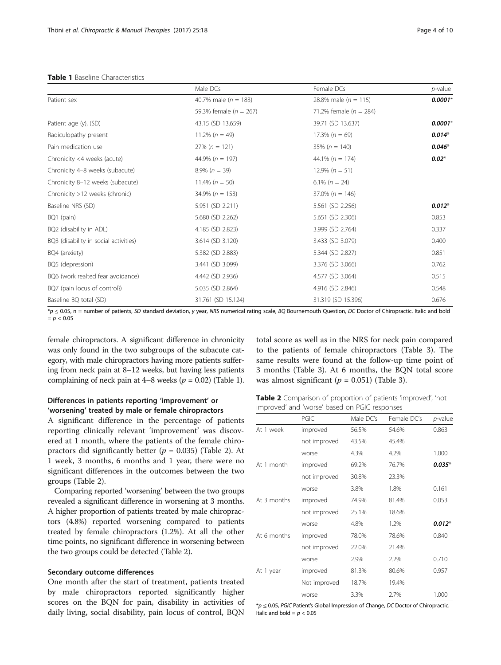#### <span id="page-3-0"></span>Table 1 Baseline Characteristics

|                                       | Male DCs                   | Female DCs                 | $p$ -value            |
|---------------------------------------|----------------------------|----------------------------|-----------------------|
| Patient sex                           | 40.7% male ( $n = 183$ )   | 28.8% male ( $n = 115$ )   | $0.0001$ <sup>*</sup> |
|                                       | 59.3% female ( $n = 267$ ) | 71.2% female ( $n = 284$ ) |                       |
| Patient age (y), (SD)                 | 43.15 (SD 13.659)          | 39.71 (SD 13.637)          | $0.0001$ <sup>*</sup> |
| Radiculopathy present                 | $11.2\% (n = 49)$          | $17.3\% (n = 69)$          | $0.014*$              |
| Pain medication use                   | $27\% (n = 121)$           | $35\% (n = 140)$           | $0.046*$              |
| Chronicity <4 weeks (acute)           | 44.9% ( $n = 197$ )        | 44.1% $(n = 174)$          | $0.02^*$              |
| Chronicity 4-8 weeks (subacute)       | $8.9\% (n = 39)$           | $12.9\% (n = 51)$          |                       |
| Chronicity 8-12 weeks (subacute)      | $11.4\% (n = 50)$          | $6.1\% (n = 24)$           |                       |
| Chronicity >12 weeks (chronic)        | $34.9\% (n = 153)$         | $37.0\% (n = 146)$         |                       |
| Baseline NRS (SD)                     | 5.951 (SD 2.211)           | 5.561 (SD 2.256)           | $0.012*$              |
| BQ1 (pain)                            | 5.680 (SD 2.262)           | 5.651 (SD 2.306)           | 0.853                 |
| BQ2 (disability in ADL)               | 4.185 (SD 2.823)           | 3.999 (SD 2.764)           | 0.337                 |
| BQ3 (disability in social activities) | 3.614 (SD 3.120)           | 3.433 (SD 3.079)           | 0.400                 |
| BQ4 (anxiety)                         | 5.382 (SD 2.883)           | 5.344 (SD 2.827)           | 0.851                 |
| BQ5 (depression)                      | 3.441 (SD 3.099)           | 3.376 (SD 3.066)           | 0.762                 |
| BQ6 (work realted fear avoidance)     | 4.442 (SD 2.936)           | 4.577 (SD 3.064)           | 0.515                 |
| BQ7 (pain locus of control})          | 5.035 (SD 2.864)           | 4.916 (SD 2.846)           | 0.548                 |
| Baseline BQ total (SD)                | 31.761 (SD 15.124)         | 31.319 (SD 15.396)         | 0.676                 |
|                                       |                            |                            |                       |

\*p ≤ 0.05, n = number of patients, SD standard deviation, y year, NRS numerical rating scale, BQ Bournemouth Question, DC Doctor of Chiropractic. Italic and bold  $= p < 0.05$ 

female chiropractors. A significant difference in chronicity was only found in the two subgroups of the subacute category, with male chiropractors having more patients suffering from neck pain at 8–12 weeks, but having less patients complaining of neck pain at 4–8 weeks ( $p = 0.02$ ) (Table 1).

# Differences in patients reporting 'improvement' or 'worsening' treated by male or female chiropractors

A significant difference in the percentage of patients reporting clinically relevant 'improvement' was discovered at 1 month, where the patients of the female chiropractors did significantly better ( $p = 0.035$ ) (Table 2). At 1 week, 3 months, 6 months and 1 year, there were no significant differences in the outcomes between the two groups (Table 2).

Comparing reported 'worsening' between the two groups revealed a significant difference in worsening at 3 months. A higher proportion of patients treated by male chiropractors (4.8%) reported worsening compared to patients treated by female chiropractors (1.2%). At all the other time points, no significant difference in worsening between the two groups could be detected (Table 2).

## Secondary outcome differences

One month after the start of treatment, patients treated by male chiropractors reported significantly higher scores on the BQN for pain, disability in activities of daily living, social disability, pain locus of control, BQN

total score as well as in the NRS for neck pain compared to the patients of female chiropractors (Table [3](#page-4-0)). The same results were found at the follow-up time point of 3 months (Table [3\)](#page-4-0). At 6 months, the BQN total score was almost significant ( $p = 0.051$ ) (Table [3\)](#page-4-0).

Table 2 Comparison of proportion of patients 'improved', 'not improved' and 'worse' based on PGIC responses

|             | PGIC         | Male DC's | Female DC's | p-value  |
|-------------|--------------|-----------|-------------|----------|
| At 1 week   | improved     | 56.5%     | 54.6%       | 0.863    |
|             | not improved | 43.5%     | 45.4%       |          |
|             | worse        | 4.3%      | 4.2%        | 1.000    |
| At 1 month  | improved     | 69.2%     | 76.7%       | $0.035*$ |
|             | not improved | 30.8%     | 23.3%       |          |
|             | worse        | 3.8%      | 1.8%        | 0.161    |
| At 3 months | improved     | 74.9%     | 81.4%       | 0.053    |
|             | not improved | 25.1%     | 18.6%       |          |
|             | worse        | 4.8%      | 1.2%        | $0.012*$ |
| At 6 months | improved     | 78.0%     | 78.6%       | 0.840    |
|             | not improved | 22.0%     | 21.4%       |          |
|             | worse        | 2.9%      | 2.2%        | 0.710    |
| At 1 year   | improved     | 81.3%     | 80.6%       | 0.957    |
|             | Not improved | 18.7%     | 19.4%       |          |
|             | worse        | 3.3%      | 2.7%        | 1.000    |

 $\frac{1}{2}$   $\frac{1}{2}$   $\leq$  0.05, PGIC Patient's Global Impression of Change, DC Doctor of Chiropractic. Italic and bold =  $p < 0.05$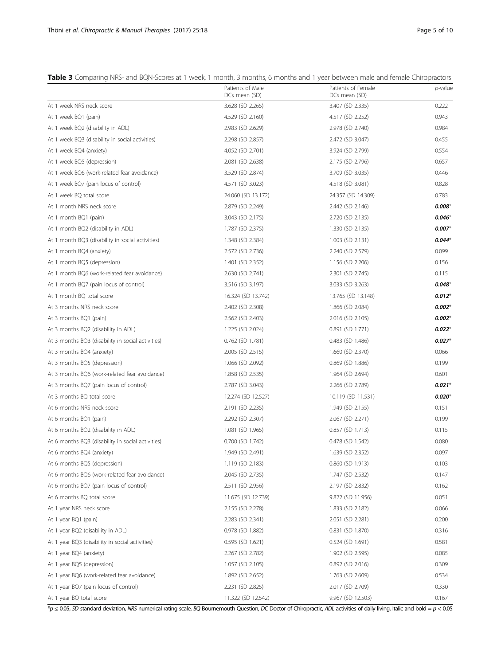# <span id="page-4-0"></span>Table 3 Comparing NRS- and BQN-Scores at 1 week, 1 month, 3 months, 6 months and 1 year between male and female Chiropractors

|                                                   | Patients of Male<br>DCs mean (SD) | Patients of Female<br>DCs mean (SD) | p-value  |
|---------------------------------------------------|-----------------------------------|-------------------------------------|----------|
| At 1 week NRS neck score                          | 3.628 (SD 2.265)                  | 3.407 (SD 2.335)                    | 0.222    |
| At 1 week BQ1 (pain)                              | 4.529 (SD 2.160)                  | 4.517 (SD 2.252)                    | 0.943    |
| At 1 week BQ2 (disability in ADL)                 | 2.983 (SD 2.629)                  | 2.978 (SD 2.740)                    | 0.984    |
| At 1 week BQ3 (disability in social activities)   | 2.298 (SD 2.857)                  | 2.472 (SD 3.047)                    | 0.455    |
| At 1 week BQ4 (anxiety)                           | 4.052 (SD 2.701)                  | 3.924 (SD 2.799)                    | 0.554    |
| At 1 week BQ5 (depression)                        | 2.081 (SD 2.638)                  | 2.175 (SD 2.796)                    | 0.657    |
| At 1 week BQ6 (work-related fear avoidance)       | 3.529 (SD 2.874)                  | 3.709 (SD 3.035)                    | 0.446    |
| At 1 week BQ7 (pain locus of control)             | 4.571 (SD 3.023)                  | 4.518 (SD 3.081)                    | 0.828    |
| At 1 week BQ total score                          | 24.060 (SD 13.172)                | 24.357 (SD 14.309)                  | 0.783    |
| At 1 month NRS neck score                         | 2.879 (SD 2.249)                  | 2.442 (SD 2.146)                    | $0.008*$ |
| At 1 month BQ1 (pain)                             | 3.043 (SD 2.175)                  | 2.720 (SD 2.135)                    | $0.046*$ |
| At 1 month BQ2 (disability in ADL)                | 1.787 (SD 2.375)                  | 1.330 (SD 2.135)                    | $0.007*$ |
| At 1 month BQ3 (disability in social activities)  | 1.348 (SD 2.384)                  | $1.003$ (SD 2.131)                  | $0.044*$ |
| At 1 month BQ4 (anxiety)                          | 2.572 (SD 2.736)                  | 2.240 (SD 2.579)                    | 0.099    |
| At 1 month BQ5 (depression)                       | 1.401 (SD 2.352)                  | 1.156 (SD 2.206)                    | 0.156    |
| At 1 month BQ6 (work-related fear avoidance)      | 2.630 (SD 2.741)                  | 2.301 (SD 2.745)                    | 0.115    |
| At 1 month BQ7 (pain locus of control)            | 3.516 (SD 3.197)                  | 3.033 (SD 3.263)                    | $0.048*$ |
| At 1 month BQ total score                         | 16.324 (SD 13.742)                | 13.765 (SD 13.148)                  | $0.012*$ |
| At 3 months NRS neck score                        | 2.402 (SD 2.308)                  | 1.866 (SD 2.084)                    | $0.002*$ |
| At 3 months BQ1 (pain)                            | 2.562 (SD 2.403)                  | 2.016 (SD 2.105)                    | $0.002*$ |
| At 3 months BQ2 (disability in ADL)               | 1.225 (SD 2.024)                  | $0.891$ (SD 1.771)                  | $0.022*$ |
| At 3 months BQ3 (disability in social activities) | 0.762 (SD 1.781)                  | 0.483 (SD 1.486)                    | $0.027*$ |
| At 3 months BQ4 (anxiety)                         | 2.005 (SD 2.515)                  | 1.660 (SD 2.370)                    | 0.066    |
| At 3 months BQ5 (depression)                      | 1.066 (SD 2.092)                  | $0.869$ (SD 1.886)                  | 0.199    |
| At 3 months BQ6 (work-related fear avoidance)     | 1.858 (SD 2.535)                  | 1.964 (SD 2.694)                    | 0.601    |
| At 3 months BQ7 (pain locus of control)           | 2.787 (SD 3.043)                  | 2.266 (SD 2.789)                    | $0.021*$ |
| At 3 months BQ total score                        | 12.274 (SD 12.527)                | 10.119 (SD 11.531)                  | $0.020*$ |
| At 6 months NRS neck score                        | 2.191 (SD 2.235)                  | 1.949 (SD 2.155)                    | 0.151    |
| At 6 months BQ1 (pain)                            | 2.292 (SD 2.307)                  | 2.067 (SD 2.271)                    | 0.199    |
| At 6 months BQ2 (disability in ADL)               | 1.081 (SD 1.965)                  | 0.857 (SD 1.713)                    | 0.115    |
| At 6 months BQ3 (disability in social activities) | 0.700 (SD 1.742)                  | 0.478 (SD 1.542)                    | 0.080    |
| At 6 months BQ4 (anxiety)                         | 1.949 (SD 2.491)                  | 1.639 (SD 2.352)                    | 0.097    |
| At 6 months BQ5 (depression)                      | 1.119 (SD 2.183)                  | 0.860 (SD 1.913)                    | 0.103    |
| At 6 months BQ6 (work-related fear avoidance)     | 2.045 (SD 2.735)                  | 1.747 (SD 2.532)                    | 0.147    |
| At 6 months BQ7 (pain locus of control)           | 2.511 (SD 2.956)                  | 2.197 (SD 2.832)                    | 0.162    |
| At 6 months BQ total score                        | 11.675 (SD 12.739)                | 9.822 (SD 11.956)                   | 0.051    |
| At 1 year NRS neck score                          | 2.155 (SD 2.278)                  | 1.833 (SD 2.182)                    | 0.066    |
| At 1 year BQ1 (pain)                              | 2.283 (SD 2.341)                  | 2.051 (SD 2.281)                    | 0.200    |
| At 1 year BQ2 (disability in ADL)                 | 0.978 (SD 1.882)                  | 0.831 (SD 1.870)                    | 0.316    |
| At 1 year BQ3 (disability in social activities)   | 0.595 (SD 1.621)                  | $0.524$ (SD 1.691)                  | 0.581    |
| At 1 year BQ4 (anxiety)                           | 2.267 (SD 2.782)                  | 1.902 (SD 2.595)                    | 0.085    |
| At 1 year BQ5 (depression)                        | 1.057 (SD 2.105)                  | 0.892 (SD 2.016)                    | 0.309    |
| At 1 year BQ6 (work-related fear avoidance)       | 1.892 (SD 2.652)                  | 1.763 (SD 2.609)                    | 0.534    |
| At 1 year BQ7 (pain locus of control)             | 2.231 (SD 2.825)                  | 2.017 (SD 2.709)                    | 0.330    |
| At 1 year BQ total score                          | 11.322 (SD 12.542)                | 9.967 (SD 12.503)                   | 0.167    |

 $*p \leq 0.05$ , SD standard deviation, NRS numerical rating scale, BQ Bournemouth Question, DC Doctor of Chiropractic, ADL activities of daily living. Italic and bold =  $p < 0.05$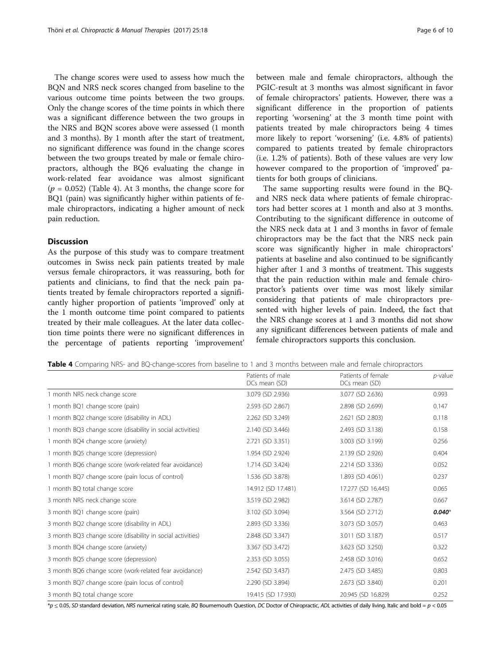The change scores were used to assess how much the BQN and NRS neck scores changed from baseline to the various outcome time points between the two groups. Only the change scores of the time points in which there was a significant difference between the two groups in the NRS and BQN scores above were assessed (1 month and 3 months). By 1 month after the start of treatment, no significant difference was found in the change scores between the two groups treated by male or female chiropractors, although the BQ6 evaluating the change in work-related fear avoidance was almost significant  $(p = 0.052)$  (Table 4). At 3 months, the change score for BQ1 (pain) was significantly higher within patients of female chiropractors, indicating a higher amount of neck pain reduction.

#### **Discussion**

As the purpose of this study was to compare treatment outcomes in Swiss neck pain patients treated by male versus female chiropractors, it was reassuring, both for patients and clinicians, to find that the neck pain patients treated by female chiropractors reported a significantly higher proportion of patients 'improved' only at the 1 month outcome time point compared to patients treated by their male colleagues. At the later data collection time points there were no significant differences in the percentage of patients reporting 'improvement' between male and female chiropractors, although the PGIC-result at 3 months was almost significant in favor of female chiropractors' patients. However, there was a significant difference in the proportion of patients reporting 'worsening' at the 3 month time point with patients treated by male chiropractors being 4 times more likely to report 'worsening' (i.e. 4.8% of patients) compared to patients treated by female chiropractors (i.e. 1.2% of patients). Both of these values are very low however compared to the proportion of 'improved' patients for both groups of clinicians.

The same supporting results were found in the BQand NRS neck data where patients of female chiropractors had better scores at 1 month and also at 3 months. Contributing to the significant difference in outcome of the NRS neck data at 1 and 3 months in favor of female chiropractors may be the fact that the NRS neck pain score was significantly higher in male chiropractors' patients at baseline and also continued to be significantly higher after 1 and 3 months of treatment. This suggests that the pain reduction within male and female chiropractor's patients over time was most likely similar considering that patients of male chiropractors presented with higher levels of pain. Indeed, the fact that the NRS change scores at 1 and 3 months did not show any significant differences between patients of male and female chiropractors supports this conclusion.

|  |  | Table 4 Comparing NRS- and BQ-change-scores from baseline to 1 and 3 months between male and female chiropractors |  |  |  |  |  |
|--|--|-------------------------------------------------------------------------------------------------------------------|--|--|--|--|--|
|--|--|-------------------------------------------------------------------------------------------------------------------|--|--|--|--|--|

|                                                            | Patients of male<br>DCs mean (SD) | Patients of female<br>DCs mean (SD) | p-value  |
|------------------------------------------------------------|-----------------------------------|-------------------------------------|----------|
| 1 month NRS neck change score                              | 3.079 (SD 2.936)                  | 3.077 (SD 2.636)                    | 0.993    |
| 1 month BQ1 change score (pain)                            | 2.593 (SD 2.867)                  | 2.898 (SD 2.699)                    | 0.147    |
| 1 month BQ2 change score (disability in ADL)               | 2.262 (SD 3.249)                  | 2.621 (SD 2.803)                    | 0.118    |
| 1 month BQ3 change score (disability in social activities) | 2.140 (SD 3.446)                  | 2.493 (SD 3.138)                    | 0.158    |
| 1 month BQ4 change score (anxiety)                         | 2.721 (SD 3.351)                  | 3.003 (SD 3.199)                    | 0.256    |
| 1 month BQ5 change score (depression)                      | 1.954 (SD 2.924)                  | 2.139 (SD 2.926)                    | 0.404    |
| 1 month BQ6 change score (work-related fear avoidance)     | 1.714 (SD 3.424)                  | 2.214 (SD 3.336)                    | 0.052    |
| 1 month BQ7 change score (pain locus of control)           | 1.536 (SD 3.878)                  | 1.893 (SD 4.061)                    | 0.237    |
| 1 month BQ total change score                              | 14.912 (SD 17.481)                | 17.277 (SD 16.445)                  | 0.065    |
| 3 month NRS neck change score                              | 3.519 (SD 2.982)                  | 3.614 (SD 2.787)                    | 0.667    |
| 3 month BQ1 change score (pain)                            | 3.102 (SD 3.094)                  | 3.564 (SD 2.712)                    | $0.040*$ |
| 3 month BQ2 change score (disability in ADL)               | 2.893 (SD 3.336)                  | 3.073 (SD 3.057)                    | 0.463    |
| 3 month BQ3 change score (disability in social activities) | 2.848 (SD 3.347)                  | 3.011 (SD 3.187)                    | 0.517    |
| 3 month BQ4 change score (anxiety)                         | 3.367 (SD 3.472)                  | 3.623 (SD 3.250)                    | 0.322    |
| 3 month BQ5 change score (depression)                      | 2.353 (SD 3.055)                  | 2.458 (SD 3.016)                    | 0.652    |
| 3 month BQ6 change score (work-related fear avoidance)     | 2.542 (SD 3.437)                  | 2.475 (SD 3.485)                    | 0.803    |
| 3 month BQ7 change score (pain locus of control)           | 2.290 (SD 3.894)                  | 2.673 (SD 3.840)                    | 0.201    |
| 3 month BQ total change score                              | 19.415 (SD 17.930)                | 20.945 (SD 16.829)                  | 0.252    |

 $*_p$   $\leq$  0.05, SD standard deviation, NRS numerical rating scale, BQ Bournemouth Question, DC Doctor of Chiropractic, ADL activities of daily living. Italic and bold = p < 0.05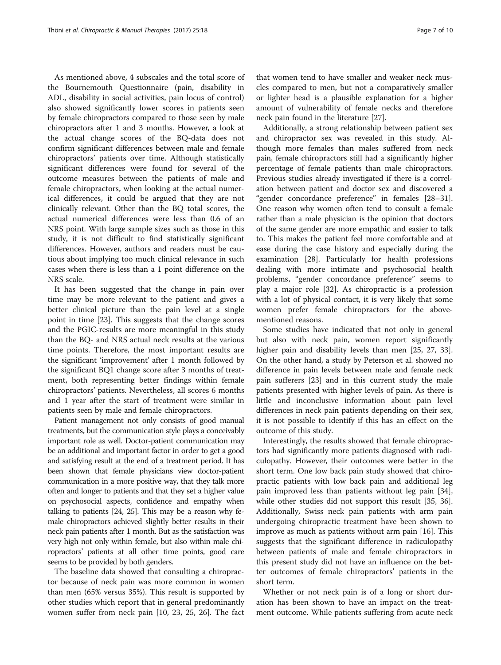As mentioned above, 4 subscales and the total score of the Bournemouth Questionnaire (pain, disability in ADL, disability in social activities, pain locus of control) also showed significantly lower scores in patients seen by female chiropractors compared to those seen by male chiropractors after 1 and 3 months. However, a look at the actual change scores of the BQ-data does not confirm significant differences between male and female chiropractors' patients over time. Although statistically significant differences were found for several of the outcome measures between the patients of male and female chiropractors, when looking at the actual numerical differences, it could be argued that they are not clinically relevant. Other than the BQ total scores, the actual numerical differences were less than 0.6 of an NRS point. With large sample sizes such as those in this study, it is not difficult to find statistically significant differences. However, authors and readers must be cautious about implying too much clinical relevance in such cases when there is less than a 1 point difference on the NRS scale.

It has been suggested that the change in pain over time may be more relevant to the patient and gives a better clinical picture than the pain level at a single point in time [[23](#page-8-0)]. This suggests that the change scores and the PGIC-results are more meaningful in this study than the BQ- and NRS actual neck results at the various time points. Therefore, the most important results are the significant 'improvement' after 1 month followed by the significant BQ1 change score after 3 months of treatment, both representing better findings within female chiropractors' patients. Nevertheless, all scores 6 months and 1 year after the start of treatment were similar in patients seen by male and female chiropractors.

Patient management not only consists of good manual treatments, but the communication style plays a conceivably important role as well. Doctor-patient communication may be an additional and important factor in order to get a good and satisfying result at the end of a treatment period. It has been shown that female physicians view doctor-patient communication in a more positive way, that they talk more often and longer to patients and that they set a higher value on psychosocial aspects, confidence and empathy when talking to patients [[24](#page-9-0), [25](#page-9-0)]. This may be a reason why female chiropractors achieved slightly better results in their neck pain patients after 1 month. But as the satisfaction was very high not only within female, but also within male chiropractors' patients at all other time points, good care seems to be provided by both genders.

The baseline data showed that consulting a chiropractor because of neck pain was more common in women than men (65% versus 35%). This result is supported by other studies which report that in general predominantly women suffer from neck pain [[10, 23,](#page-8-0) [25, 26](#page-9-0)]. The fact

that women tend to have smaller and weaker neck muscles compared to men, but not a comparatively smaller or lighter head is a plausible explanation for a higher amount of vulnerability of female necks and therefore neck pain found in the literature [\[27](#page-9-0)].

Additionally, a strong relationship between patient sex and chiropractor sex was revealed in this study. Although more females than males suffered from neck pain, female chiropractors still had a significantly higher percentage of female patients than male chiropractors. Previous studies already investigated if there is a correlation between patient and doctor sex and discovered a "gender concordance preference" in females [[28](#page-9-0)–[31](#page-9-0)]. One reason why women often tend to consult a female rather than a male physician is the opinion that doctors of the same gender are more empathic and easier to talk to. This makes the patient feel more comfortable and at ease during the case history and especially during the examination [\[28](#page-9-0)]. Particularly for health professions dealing with more intimate and psychosocial health problems, "gender concordance preference" seems to play a major role [\[32](#page-9-0)]. As chiropractic is a profession with a lot of physical contact, it is very likely that some women prefer female chiropractors for the abovementioned reasons.

Some studies have indicated that not only in general but also with neck pain, women report significantly higher pain and disability levels than men [[25, 27](#page-9-0), [33](#page-9-0)]. On the other hand, a study by Peterson et al. showed no difference in pain levels between male and female neck pain sufferers [[23\]](#page-8-0) and in this current study the male patients presented with higher levels of pain. As there is little and inconclusive information about pain level differences in neck pain patients depending on their sex, it is not possible to identify if this has an effect on the outcome of this study.

Interestingly, the results showed that female chiropractors had significantly more patients diagnosed with radiculopathy. However, their outcomes were better in the short term. One low back pain study showed that chiropractic patients with low back pain and additional leg pain improved less than patients without leg pain [\[34](#page-9-0)], while other studies did not support this result [\[35](#page-9-0), [36](#page-9-0)]. Additionally, Swiss neck pain patients with arm pain undergoing chiropractic treatment have been shown to improve as much as patients without arm pain [\[16](#page-8-0)]. This suggests that the significant difference in radiculopathy between patients of male and female chiropractors in this present study did not have an influence on the better outcomes of female chiropractors' patients in the short term.

Whether or not neck pain is of a long or short duration has been shown to have an impact on the treatment outcome. While patients suffering from acute neck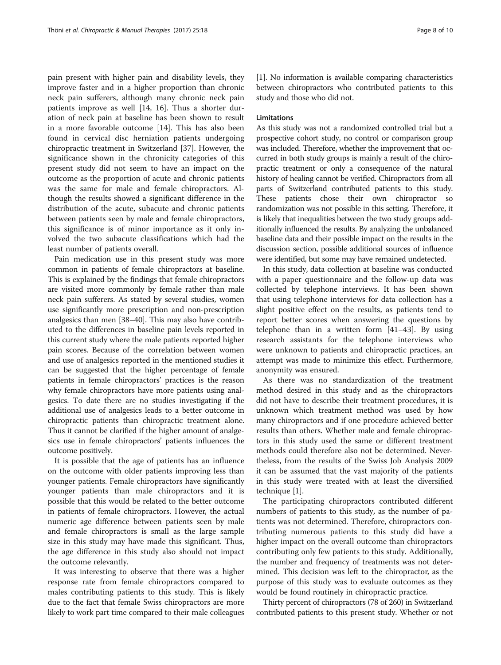pain present with higher pain and disability levels, they improve faster and in a higher proportion than chronic neck pain sufferers, although many chronic neck pain patients improve as well [[14](#page-8-0), [16\]](#page-8-0). Thus a shorter duration of neck pain at baseline has been shown to result in a more favorable outcome [[14\]](#page-8-0). This has also been found in cervical disc herniation patients undergoing chiropractic treatment in Switzerland [[37\]](#page-9-0). However, the significance shown in the chronicity categories of this present study did not seem to have an impact on the outcome as the proportion of acute and chronic patients was the same for male and female chiropractors. Although the results showed a significant difference in the distribution of the acute, subacute and chronic patients between patients seen by male and female chiropractors, this significance is of minor importance as it only involved the two subacute classifications which had the least number of patients overall.

Pain medication use in this present study was more common in patients of female chiropractors at baseline. This is explained by the findings that female chiropractors are visited more commonly by female rather than male neck pain sufferers. As stated by several studies, women use significantly more prescription and non-prescription analgesics than men [\[38](#page-9-0)–[40](#page-9-0)]. This may also have contributed to the differences in baseline pain levels reported in this current study where the male patients reported higher pain scores. Because of the correlation between women and use of analgesics reported in the mentioned studies it can be suggested that the higher percentage of female patients in female chiropractors' practices is the reason why female chiropractors have more patients using analgesics. To date there are no studies investigating if the additional use of analgesics leads to a better outcome in chiropractic patients than chiropractic treatment alone. Thus it cannot be clarified if the higher amount of analgesics use in female chiropractors' patients influences the outcome positively.

It is possible that the age of patients has an influence on the outcome with older patients improving less than younger patients. Female chiropractors have significantly younger patients than male chiropractors and it is possible that this would be related to the better outcome in patients of female chiropractors. However, the actual numeric age difference between patients seen by male and female chiropractors is small as the large sample size in this study may have made this significant. Thus, the age difference in this study also should not impact the outcome relevantly.

It was interesting to observe that there was a higher response rate from female chiropractors compared to males contributing patients to this study. This is likely due to the fact that female Swiss chiropractors are more likely to work part time compared to their male colleagues

[[1\]](#page-8-0). No information is available comparing characteristics between chiropractors who contributed patients to this study and those who did not.

## Limitations

As this study was not a randomized controlled trial but a prospective cohort study, no control or comparison group was included. Therefore, whether the improvement that occurred in both study groups is mainly a result of the chiropractic treatment or only a consequence of the natural history of healing cannot be verified. Chiropractors from all parts of Switzerland contributed patients to this study. These patients chose their own chiropractor so randomization was not possible in this setting. Therefore, it is likely that inequalities between the two study groups additionally influenced the results. By analyzing the unbalanced baseline data and their possible impact on the results in the discussion section, possible additional sources of influence were identified, but some may have remained undetected.

In this study, data collection at baseline was conducted with a paper questionnaire and the follow-up data was collected by telephone interviews. It has been shown that using telephone interviews for data collection has a slight positive effect on the results, as patients tend to report better scores when answering the questions by telephone than in a written form [[41](#page-9-0)–[43](#page-9-0)]. By using research assistants for the telephone interviews who were unknown to patients and chiropractic practices, an attempt was made to minimize this effect. Furthermore, anonymity was ensured.

As there was no standardization of the treatment method desired in this study and as the chiropractors did not have to describe their treatment procedures, it is unknown which treatment method was used by how many chiropractors and if one procedure achieved better results than others. Whether male and female chiropractors in this study used the same or different treatment methods could therefore also not be determined. Nevertheless, from the results of the Swiss Job Analysis 2009 it can be assumed that the vast majority of the patients in this study were treated with at least the diversified technique [\[1\]](#page-8-0).

The participating chiropractors contributed different numbers of patients to this study, as the number of patients was not determined. Therefore, chiropractors contributing numerous patients to this study did have a higher impact on the overall outcome than chiropractors contributing only few patients to this study. Additionally, the number and frequency of treatments was not determined. This decision was left to the chiropractor, as the purpose of this study was to evaluate outcomes as they would be found routinely in chiropractic practice.

Thirty percent of chiropractors (78 of 260) in Switzerland contributed patients to this present study. Whether or not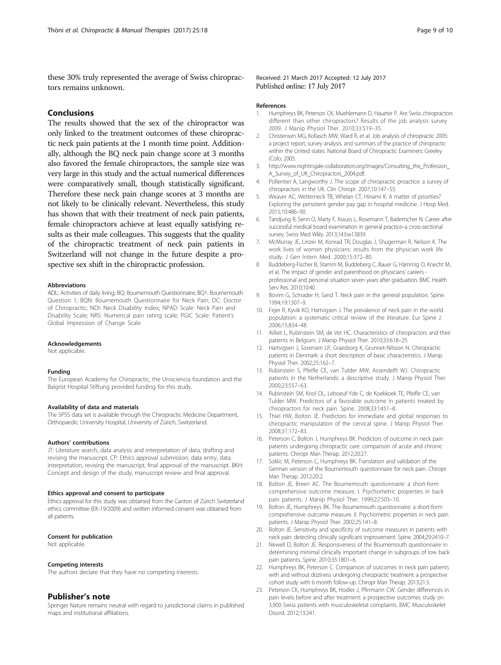<span id="page-8-0"></span>these 30% truly represented the average of Swiss chiropractors remains unknown.

# Conclusions

The results showed that the sex of the chiropractor was only linked to the treatment outcomes of these chiropractic neck pain patients at the 1 month time point. Additionally, although the BQ neck pain change score at 3 months also favored the female chiropractors, the sample size was very large in this study and the actual numerical differences were comparatively small, though statistically significant. Therefore these neck pain change scores at 3 months are not likely to be clinically relevant. Nevertheless, this study has shown that with their treatment of neck pain patients, female chiropractors achieve at least equally satisfying results as their male colleagues. This suggests that the quality of the chiropractic treatment of neck pain patients in Switzerland will not change in the future despite a prospective sex shift in the chiropractic profession.

#### Abbreviations

ADL: Activities of daily living; BQ: Bournemouth Questionnaire; BQ1: Bournemouth Question 1; BQN: Bournemouth Questionnaire for Neck Pain; DC: Doctor of Chiropractic; NDI: Neck Disability Index; NPAD Scale: Neck Pain and Disability Scale; NRS: Numerical pain rating scale; PGIC Scale: Patient's Global Impression of Change Scale

#### Acknowledgements

Not applicable.

#### Funding

The European Academy for Chiropractic, the Unisciencia foundation and the Balgrist Hospital Stiftung provided funding for this study.

#### Availability of data and materials

The SPSS data set is available through the Chiropractic Medicine Department, Orthopaedic University Hospital, University of Zürich, Switzerland.

#### Authors' contributions

JT: Literature search, data analysis and interpretation of data, drafting and revising the manuscript. CP: Ethics approval submission, data entry, data interpretation, revising the manuscript, final approval of the manuscript. BKH: Concept and design of the study, manuscript review and final approval.

#### Ethics approval and consent to participate

Ethics approval for this study was obtained from the Canton of Zürich Switzerland ethics committee (EK-19/2009) and written informed consent was obtained from all patients.

#### Consent for publication

Not applicable.

#### Competing interests

The authors declare that they have no competing interests.

#### Publisher's note

Springer Nature remains neutral with regard to jurisdictional claims in published maps and institutional affiliations.

Received: 21 March 2017 Accepted: 12 July 2017 Published online: 17 July 2017

#### References

- 1. Humphreys BK, Peterson CK, Muehlemann D, Haueter P. Are Swiss chiropractors different than other chiropractors? Results of the job analysis survey 2009. J Manip Physiol Ther. 2010;33:519–35.
- 2. Christensen MG, Kollasch MW, Ward R, et al. Job analysis of chiropractic 2005: a project report, survey analysis, and summars of the practice of chiropractic within the United states. National Board of Chiropractic Examiners: Greeley (Colo; 2005.
- 3. [http://www.nightingale-collaboration.org/images/Consulting\\_the\\_Profession\\_](http://www.nightingale-collaboration.org/images/Consulting_the_Profession_A_Survey_of_UK_Chiropractors_2004.pdf) [A\\_Survey\\_of\\_UK\\_Chiropractors\\_2004.pdf](http://www.nightingale-collaboration.org/images/Consulting_the_Profession_A_Survey_of_UK_Chiropractors_2004.pdf).
- 4. Pollentier A, Langworthy J. The scope of chiropractic proactice: a survey of chiropractors in the UK. Clin Chiropr. 2007;10:147–55.
- 5. Weaver AC, Wetterneck TB, Whelan CT, Hinami K. A matter of priorities? Exploring the persistent gender pay gap in hospital medicine. J Hosp Med. 2015;10:486–90.
- 6. Tandjung R, Senn O, Marty F, Krauss L, Rosemann T, Badertscher N. Career after successful medical board examination in general practice–a cross-sectional survey. Swiss Med Wkly. 2013;143:w13839.
- 7. McMurray JE, Linzer M, Konrad TR, Douglas J, Shugerman R, Nelson K. The work lives of women physicians: results from the physician work life study. J Gen Intern Med. 2000;15:372–80.
- 8. Buddeberg-Fischer B, Stamm M, Buddeberg C, Bauer G, Hämmig O, Knecht M, et al. The impact of gender and parenthood on physicians' careers professional and personal situation seven years after graduation. BMC Health Serv Res. 2010;10:40.
- 9. Bovim G, Schrader H, Sand T. Neck pain in the general population. Spine. 1994;19:1307–9.
- 10. Fejer R, Kyvik KO, Hartvigsen J. The prevalence of neck pain in the world population: a systematic critical review of the literature. Eur Spine J. 2006;15:834–48.
- 11. Ailliet L, Rubinstein SM, de Vet HC. Characteristics of chiropractors and their patients in Belgium. J Manip Physiol Ther. 2010;33:618–25.
- 12. Hartvigsen J, Sorensen LP, Graesborg K, Grunnet-Nilsson N. Chiropractic patients in Denmark: a short description of basic characteristics. J Manip Physiol Ther. 2002;25:162–7.
- 13. Rubinstein S, Pfeifle CE, van Tulder MW, Assendelft WJ. Chiropractic patients in the Netherlands: a descriptive study. J Manip Physiol Ther. 2000;23:557–63.
- 14. Rubinstein SM, Knol DL, Leboeuf-Yde C, de Koekkoek TE, Pfeifle CE, van Tulder MW. Predictors of a favorable outcome in patients treated by chiropractors for neck pain. Spine. 2008;33:1451–8.
- 15. Thiel HW, Bolton JE. Predictors for immediate and global responses to chiropractic manipulation of the cervical spine. J Manip Physiol Ther. 2008;31:172–83.
- 16. Peterson C, Bolton J, Humphreys BK. Predictors of outcome in neck pain patients undergoing chiropractic care: comparison of acute and chronic patients. Chiropr Man Therap. 2012;20:27.
- 17. Soklic M, Peterson C, Humphreys BK. Translation and validation of the German version of the Bournemouth questionnaire for neck pain. Chiropr Man Therap. 2012;20:2.
- 18. Bolton JE, Breen AC. The Bournemouth questionnaire: a short-form comprehensive outcome measure. I. Psychometric properties in back pain patients. J Manip Physiol Ther. 1999;22:503–10.
- 19. Bolton JE, Humphreys BK. The Bournemouth questionnaire: a short-form comprehensive outcome measure. II. Psychometric properties in neck pain patients. J Manip Physiol Ther. 2002;25:141–8.
- 20. Bolton JE. Sensitivity and specificity of outcome measures in patients with neck pain: detecting clinically significant improvement. Spine. 2004;29:2410–7.
- 21. Newell D, Bolton JE. Responsiveness of the Bournemouth questionnaire in determining minimal clinically important change in subgroups of low back pain patients. Spine. 2010;35:1801–6.
- 22. Humphreys BK, Peterson C. Comparison of outcomes in neck pain patients with and without dizziness undergoing chiropractic treatment: a prospective cohort study with 6 month follow-up. Chiropr Man Therap. 2013;21:3.
- 23. Peterson CK, Humphreys BK, Hodler J, Pfirrmann CW. Gender differences in pain levels before and after treatment: a prospective outcomes study on 3,900 Swiss patients with musculoskeletal complaints. BMC Musculoskelet Disord. 2012;13:241.